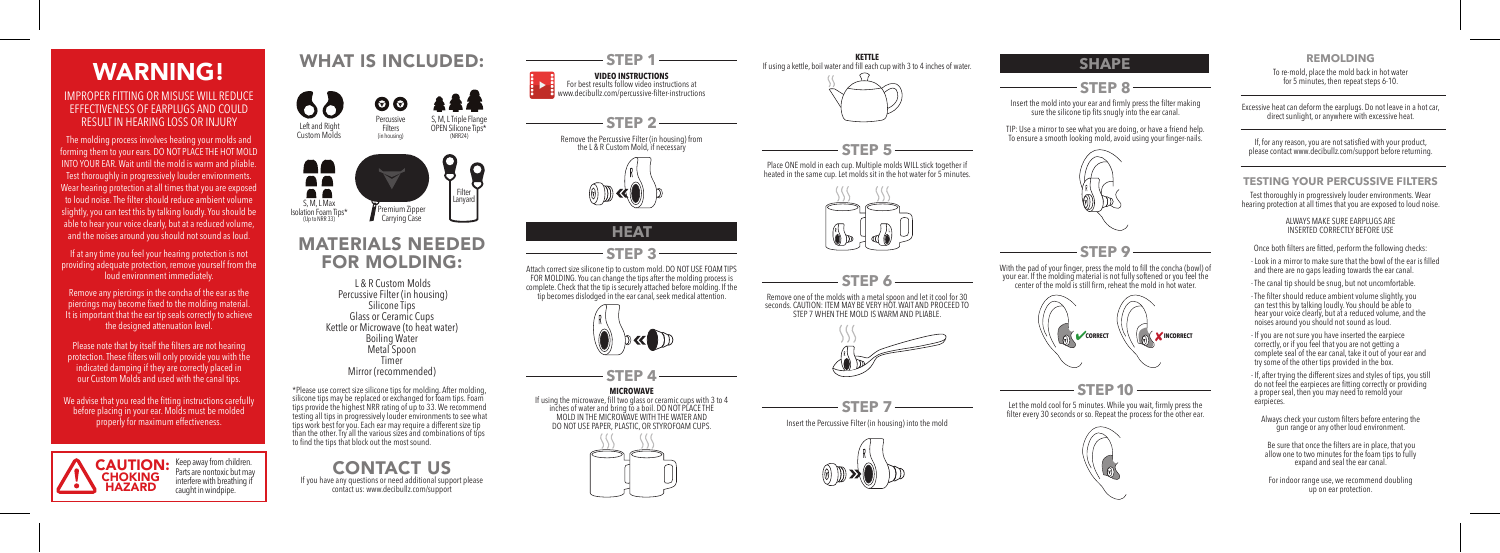# WARNING!

## IMPROPER FITTING OR MISUSE WILL REDUCE EFFECTIVENESS OF EARPLUGS AND COULD RESULT IN HEARING LOSS OR INJURY

The molding process involves heating your molds and forming them to your ears. DO NOT PLACE THE HOT MOLD INTO YOUR EAR. Wait until the mold is warm and pliable. Test thoroughly in progressively louder environments. Wear hearing protection at all times that you are exposed to loud noise. The filter should reduce ambient volume slightly, you can test this by talking loudly. You should be able to hear your voice clearly, but at a reduced volume, and the noises around you should not sound as loud.

If at any time you feel your hearing protection is not providing adequate protection, remove yourself from the loud environment immediately.

Remove any piercings in the concha of the ear as the piercings may become fixed to the molding material. It is important that the ear tip seals correctly to achieve the designed attenuation level.

Please note that by itself the filters are not hearing protection. These filters will only provide you with the indicated damping if they are correctly placed in our Custom Molds and used with the canal tips.

Test thoroughly in progressively louder environments. Wear hearing protection at all times that you are exposed to loud noise.

We advise that you read the fitting instructions carefully before placing in your ear. Molds must be molded properly for maximum effectiveness.

# WHAT IS INCLUDED:

# MATERIALS NEEDED FOR MOLDING:

 L & R Custom Molds Percussive Filter (in housing) Silicone Tips Glass or Ceramic Cups Kettle or Microwave (to heat water) Boiling Water Metal Spoon Timer Mirror (recommended)

\*Please use correct size silicone tips for molding. After molding, silicone tips may be replaced or exchanged for foam tips. Foam tips provide the highest NRR rating of up to 33. We recommend testing all tips in progressively louder environments to see what tips work best for you. Each ear may require a different size tip than the other. Try all the various sizes and combinations of tips to find the tips that block out the most sound.

CONTACT US If you have any questions or need additional support please contact us: www.decibullz.com/support

### **REMOLDING**

To re-mold, place the mold back in hot water for 5 minutes, then repeat steps 6-10.

Excessive heat can deform the earplugs. Do not leave in a hot car, direct sunlight, or anywhere with excessive heat.

If, for any reason, you are not satisfied with your product, please contact www.decibullz.com/support before returning.

### **TESTING YOUR PERCUSSIVE FILTERS**

#### ALWAYS MAKE SURE EARPLUGS ARE INSERTED CORRECTLY BEFORE USE

Once both filters are fitted, perform the following checks:

- Look in a mirror to make sure that the bowl of the ear is filled and there are no gaps leading towards the ear canal.
- The canal tip should be snug, but not uncomfortable.
- The filter should reduce ambient volume slightly, you can test this by talking loudly. You should be able to hear your voice clearly, but at a reduced volume, and the noises around you should not sound as loud.
- If you are not sure you have inserted the earpiece correctly, or if you feel that you are not getting a complete seal of the ear canal, take it out of your ear and try some of the other tips provided in the box.
- If, after trying the different sizes and styles of tips, you still do not feel the earpieces are fitting correctly or providing a proper seal, then you may need to remold your earpieces.
- Always check your custom filters before entering the gun range or any other loud environment.

 Be sure that once the filters are in place, that you allow one to two minutes for the foam tips to fully expand and seal the ear canal.

For indoor range use, we recommend doubling up on ear protection.

**CAUTION:** Keep away from children. **CHOKING** HAZARD Parts are nontoxic but may interfere with breathing if caught in windpipe.







Place ONE mold in each cup. Multiple molds WILL stick together if heated in the same cup. Let molds sit in the hot water for 5 minutes.



**KETTLE** If using a kettle, boil water and fill each cup with 3 to 4 inches of water.



# **STEP 8**

Insert the mold into your ear and firmly press the filter making sure the silicone tip fits snugly into the ear canal.

TIP: Use a mirror to see what you are doing, or have a friend help. To ensure a smooth looking mold, avoid using your finger-nails.



# **STEP 9**

With the pad of your finger, press the mold to fill the concha (bowl) of your ear. If the molding material is not fully softened or you feel the center of the mold is still firm, reheat the mold in hot water.



## **STEP10**

Let the mold cool for 5 minutes. While you wait, firmly press the filter every 30 seconds or so. Repeat the process for the other ear.



**STEP 6**

Remove one of the molds with a metal spoon and let it cool for 30 seconds. CAUTION: ITEM MAY BE VERY HOT. WAIT AND PROCEED TO STEP 7 WHEN THE MOLD IS WARM AND PLIABLE.



**STEP 7** Insert the Percussive Filter (in housing) into the mold





**MICROWAVE** If using the microwave, fill two glass or ceramic cups with 3 to 4 inches of water and bring to a boil. DO NOT PLACE THE MOLD IN THE MICROWAVE WITH THE WATER AND DO NOT USE PAPER, PLASTIC, OR STYROFOAM CUPS.



## **SHAPE**